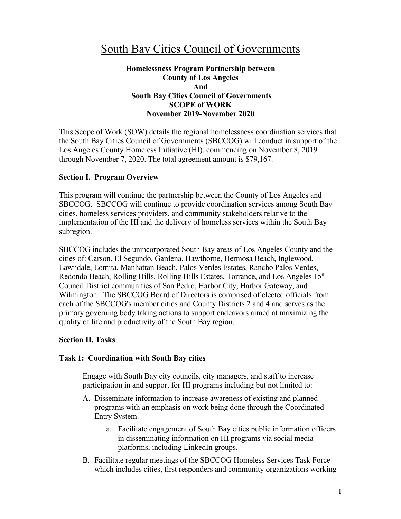# South Bay Cities Council of Governments

## **Homelessness Program Partnership between County of Los Angeles And South Bay Cities Council of Governments SCOPE of WORK November 2019-November 2020**

This Scope of Work (SOW) details the regional homelessness coordination services that the South Bay Cities Council of Governments (SBCCOG) will conduct in support of the Los Angeles County Homeless Initiative (HI), commencing on November 8, 2019 through November 7, 2020. The total agreement amount is \$79,167.

#### **Section I. Program Overview**

This program will continue the partnership between the County of Los Angeles and SBCCOG. SBCCOG will continue to provide coordination services among South Bay cities, homeless services providers, and community stakeholders relative to the implementation of the HI and the delivery of homeless services within the South Bay subregion.

SBCCOG includes the unincorporated South Bay areas of Los Angeles County and the cities of: Carson, El Segundo, Gardena, Hawthorne, Hermosa Beach, Inglewood, Lawndale, Lomita, Manhattan Beach, Palos Verdes Estates, Rancho Palos Verdes, Redondo Beach, Rolling Hills, Rolling Hills Estates, Torrance, and Los Angeles 15th Council District communities of San Pedro, Harbor City, Harbor Gateway, and Wilmington. The SBCCOG Board of Directors is comprised of elected officials from each of the SBCCOG's member cities and County Districts 2 and 4 and serves as the primary governing body taking actions to support endeavors aimed at maximizing the quality of life and productivity of the South Bay region.

#### **Section II. Tasks**

#### **Task 1: Coordination with South Bay cities**

Engage with South Bay city councils, city managers, and staff to increase participation in and support for HI programs including but not limited to:

- A. Disseminate information to increase awareness of existing and planned programs with an emphasis on work being done through the Coordinated Entry System.
	- a. Facilitate engagement of South Bay cities public information officers in disseminating information on HI programs via social media platforms, including LinkedIn groups.
- B. Facilitate regular meetings of the SBCCOG Homeless Services Task Force which includes cities, first responders and community organizations working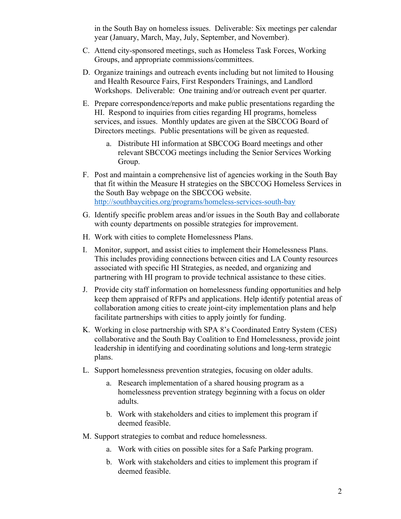in the South Bay on homeless issues. Deliverable: Six meetings per calendar year (January, March, May, July, September, and November).

- C. Attend city-sponsored meetings, such as Homeless Task Forces, Working Groups, and appropriate commissions/committees.
- D. Organize trainings and outreach events including but not limited to Housing and Health Resource Fairs, First Responders Trainings, and Landlord Workshops. Deliverable: One training and/or outreach event per quarter.
- E. Prepare correspondence/reports and make public presentations regarding the HI. Respond to inquiries from cities regarding HI programs, homeless services, and issues. Monthly updates are given at the SBCCOG Board of Directors meetings. Public presentations will be given as requested.
	- a. Distribute HI information at SBCCOG Board meetings and other relevant SBCCOG meetings including the Senior Services Working Group.
- F. Post and maintain a comprehensive list of agencies working in the South Bay that fit within the Measure H strategies on the SBCCOG Homeless Services in the South Bay webpage on the SBCCOG website. http://southbaycities.org/programs/homeless-services-south-bay
- G. Identify specific problem areas and/or issues in the South Bay and collaborate with county departments on possible strategies for improvement.
- H. Work with cities to complete Homelessness Plans.
- I. Monitor, support, and assist cities to implement their Homelessness Plans. This includes providing connections between cities and LA County resources associated with specific HI Strategies, as needed, and organizing and partnering with HI program to provide technical assistance to these cities.
- J. Provide city staff information on homelessness funding opportunities and help keep them appraised of RFPs and applications. Help identify potential areas of collaboration among cities to create joint-city implementation plans and help facilitate partnerships with cities to apply jointly for funding.
- K. Working in close partnership with SPA 8's Coordinated Entry System (CES) collaborative and the South Bay Coalition to End Homelessness, provide joint leadership in identifying and coordinating solutions and long-term strategic plans.
- L. Support homelessness prevention strategies, focusing on older adults.
	- a. Research implementation of a shared housing program as a homelessness prevention strategy beginning with a focus on older adults.
	- b. Work with stakeholders and cities to implement this program if deemed feasible.
- M. Support strategies to combat and reduce homelessness.
	- a. Work with cities on possible sites for a Safe Parking program.
	- b. Work with stakeholders and cities to implement this program if deemed feasible.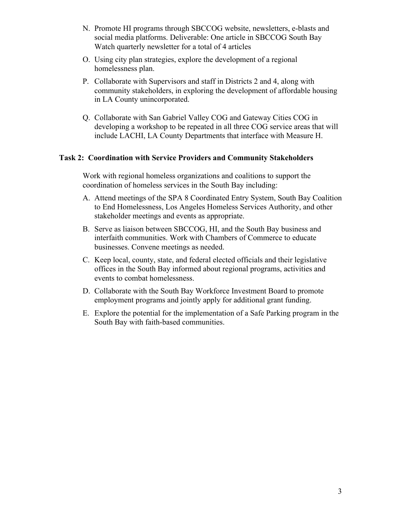- N. Promote HI programs through SBCCOG website, newsletters, e-blasts and social media platforms. Deliverable: One article in SBCCOG South Bay Watch quarterly newsletter for a total of 4 articles
- O. Using city plan strategies, explore the development of a regional homelessness plan.
- P. Collaborate with Supervisors and staff in Districts 2 and 4, along with community stakeholders, in exploring the development of affordable housing in LA County unincorporated.
- Q. Collaborate with San Gabriel Valley COG and Gateway Cities COG in developing a workshop to be repeated in all three COG service areas that will include LACHI, LA County Departments that interface with Measure H.

## **Task 2: Coordination with Service Providers and Community Stakeholders**

Work with regional homeless organizations and coalitions to support the coordination of homeless services in the South Bay including:

- A. Attend meetings of the SPA 8 Coordinated Entry System, South Bay Coalition to End Homelessness, Los Angeles Homeless Services Authority, and other stakeholder meetings and events as appropriate.
- B. Serve as liaison between SBCCOG, HI, and the South Bay business and interfaith communities. Work with Chambers of Commerce to educate businesses. Convene meetings as needed.
- C. Keep local, county, state, and federal elected officials and their legislative offices in the South Bay informed about regional programs, activities and events to combat homelessness.
- D. Collaborate with the South Bay Workforce Investment Board to promote employment programs and jointly apply for additional grant funding.
- E. Explore the potential for the implementation of a Safe Parking program in the South Bay with faith-based communities.